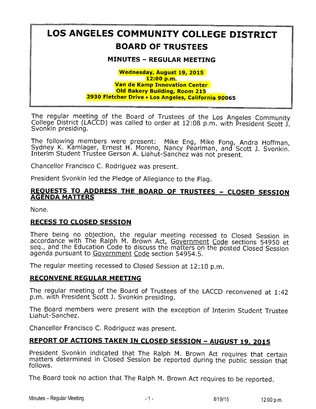# LOS ANGELES COMMUNITY COLLEGE DISTRICT BOARD OF TRUSTEES

# MINUTES - REGULAR MEETING

#### Wednesday, August 19, 2015 12:00 p.m. Van de Kamp Innovation Center Old Bakery Building, Room 215 2930 Fletcher Drive . Los Angeles, California 90065

The regular meeting of the Board of Trustees of the Los Angeles Community College District (LACCD) was called to order at 12:08 p.m. with President Scott J. Svonkin presiding,

The following members were present: Mike Eng, Mike Fong, Andra Ho Sydney K. Kamlager, Ernest H. Moreno, Nancy Pearlman, and Scott J. Svo Interim Student Trustee Gerson A. Liahut-Sanchez was not'present

Chancellor Francisco C, Rodriguez was present.

President Svonkin led the Pledge of Allegiance to the Flag.

## <u>REQUESTS TO ADDRESS THE BOARD OF TRUSTEES – CLOSED SESSION</u> **AGENDA MATTERS**

None.

# RECESS TO CLOSED SESSION

There being no objection, the regular meeting recessed to Closed Session in accordance with The Ralph M. Brown Act, Government Code sections 54950 et seq., and the Education Code to discuss the matters on the posted Closed Session agenda pursuant to Government Code section 54954.5.

The regular meeting recessed to Closed Session at 12:10 p.m.

## RECONVENE REGULAR MEETING

The regular meeting of the Board of Trustees of the LACCD reconvened at 1:42 p.m. with President Scott J. Svonkin presiding.

The Board members were present with the exception of Interim Student Trustee Liahut-Sanchez.

Chancelior Francisco C. Rodriguez was present.

# REPORT OF ACTIONS TAKEN IN CLOSED SESSION - AUGUST 19, 2015

President Svonkin indicated that The Ralph M. Brown Act requires that certain matters determined in Closed Session be reported during the public session that foliows.

The Board took no action that The Ralph M. Brown Act requires to be reported.